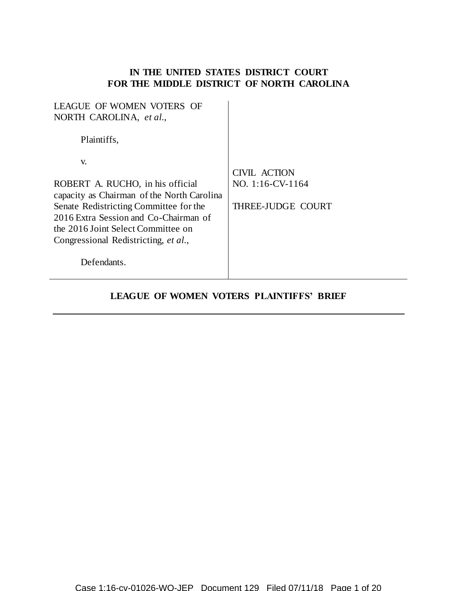# **IN THE UNITED STATES DISTRICT COURT FOR THE MIDDLE DISTRICT OF NORTH CAROLINA**

| <b>LEAGUE OF WOMEN VOTERS OF</b><br>NORTH CAROLINA, et al.,                                                                                                                                                                                                          |                                                             |
|----------------------------------------------------------------------------------------------------------------------------------------------------------------------------------------------------------------------------------------------------------------------|-------------------------------------------------------------|
| Plaintiffs,                                                                                                                                                                                                                                                          |                                                             |
| V.<br>ROBERT A. RUCHO, in his official<br>capacity as Chairman of the North Carolina<br>Senate Redistricting Committee for the<br>2016 Extra Session and Co-Chairman of<br>the 2016 Joint Select Committee on<br>Congressional Redistricting, et al.,<br>Defendants. | CIVIL ACTION<br>NO. $1:16$ -CV- $1164$<br>THREE-JUDGE COURT |

# **LEAGUE OF WOMEN VOTERS PLAINTIFFS' BRIEF**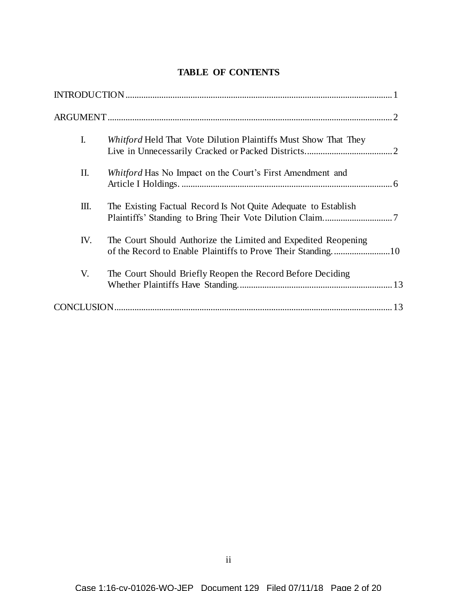# **TABLE OF CONTENTS**

| $\mathbf{I}$ . | <i>Whitford</i> Held That Vote Dilution Plaintiffs Must Show That They |
|----------------|------------------------------------------------------------------------|
| II.            | Whitford Has No Impact on the Court's First Amendment and              |
| Ш.             | The Existing Factual Record Is Not Quite Adequate to Establish         |
| IV.            | The Court Should Authorize the Limited and Expedited Reopening         |
| V.             | The Court Should Briefly Reopen the Record Before Deciding             |
|                |                                                                        |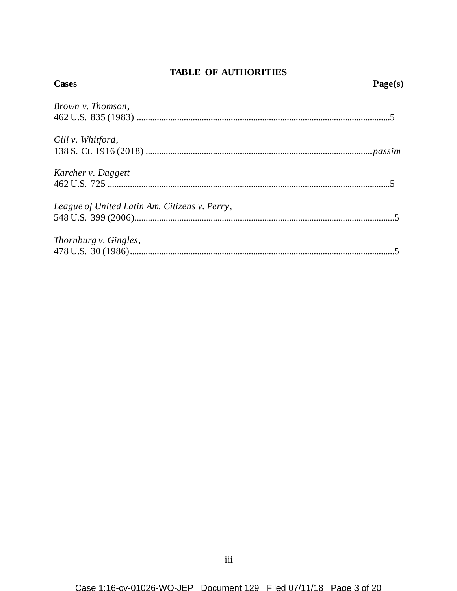# **TABLE OF AUTHORITIES**

| <b>Cases</b>                                  | Page(s) |
|-----------------------------------------------|---------|
| Brown v. Thomson,                             |         |
|                                               |         |
| Gill v. Whitford,                             |         |
|                                               |         |
| Karcher v. Daggett                            |         |
|                                               |         |
| League of United Latin Am. Citizens v. Perry, |         |
|                                               |         |
| Thornburg v. Gingles,                         |         |
|                                               |         |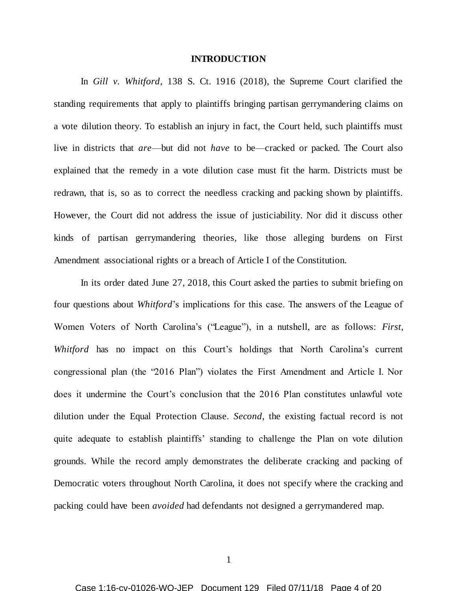#### **INTRODUCTION**

In *Gill v. Whitford*, 138 S. Ct. 1916 (2018), the Supreme Court clarified the standing requirements that apply to plaintiffs bringing partisan gerrymandering claims on a vote dilution theory. To establish an injury in fact, the Court held, such plaintiffs must live in districts that *are*—but did not *have* to be—cracked or packed. The Court also explained that the remedy in a vote dilution case must fit the harm. Districts must be redrawn, that is, so as to correct the needless cracking and packing shown by plaintiffs. However, the Court did not address the issue of justiciability. Nor did it discuss other kinds of partisan gerrymandering theories, like those alleging burdens on First Amendment associational rights or a breach of Article I of the Constitution.

In its order dated June 27, 2018, this Court asked the parties to submit briefing on four questions about *Whitford*'s implications for this case. The answers of the League of Women Voters of North Carolina's ("League"), in a nutshell, are as follows: *First*, *Whitford* has no impact on this Court's holdings that North Carolina's current congressional plan (the "2016 Plan") violates the First Amendment and Article I. Nor does it undermine the Court's conclusion that the 2016 Plan constitutes unlawful vote dilution under the Equal Protection Clause. *Second*, the existing factual record is not quite adequate to establish plaintiffs' standing to challenge the Plan on vote dilution grounds. While the record amply demonstrates the deliberate cracking and packing of Democratic voters throughout North Carolina, it does not specify where the cracking and packing could have been *avoided* had defendants not designed a gerrymandered map.

1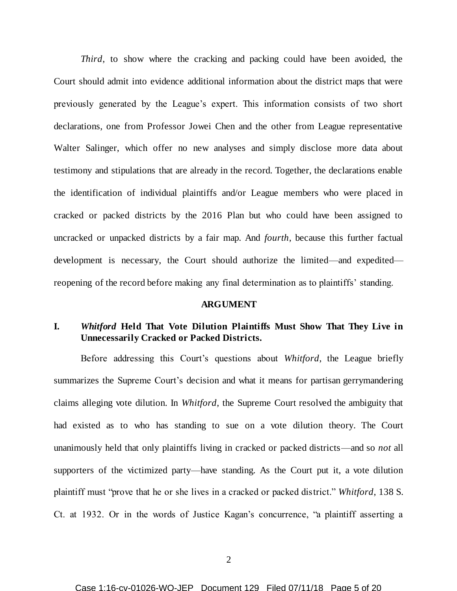*Third*, to show where the cracking and packing could have been avoided, the Court should admit into evidence additional information about the district maps that were previously generated by the League's expert. This information consists of two short declarations, one from Professor Jowei Chen and the other from League representative Walter Salinger, which offer no new analyses and simply disclose more data about testimony and stipulations that are already in the record. Together, the declarations enable the identification of individual plaintiffs and/or League members who were placed in cracked or packed districts by the 2016 Plan but who could have been assigned to uncracked or unpacked districts by a fair map. And *fourth*, because this further factual development is necessary, the Court should authorize the limited—and expedited reopening of the record before making any final determination as to plaintiffs' standing.

#### **ARGUMENT**

## **I.** *Whitford* **Held That Vote Dilution Plaintiffs Must Show That They Live in Unnecessarily Cracked or Packed Districts.**

Before addressing this Court's questions about *Whitford*, the League briefly summarizes the Supreme Court's decision and what it means for partisan gerrymandering claims alleging vote dilution. In *Whitford*, the Supreme Court resolved the ambiguity that had existed as to who has standing to sue on a vote dilution theory. The Court unanimously held that only plaintiffs living in cracked or packed districts—and so *not* all supporters of the victimized party—have standing. As the Court put it, a vote dilution plaintiff must "prove that he or she lives in a cracked or packed district." *Whitford*, 138 S. Ct. at 1932. Or in the words of Justice Kagan's concurrence, "a plaintiff asserting a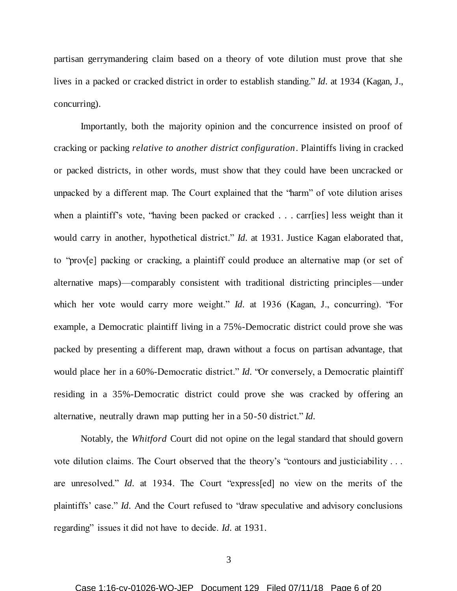partisan gerrymandering claim based on a theory of vote dilution must prove that she lives in a packed or cracked district in order to establish standing." *Id.* at 1934 (Kagan, J., concurring).

Importantly, both the majority opinion and the concurrence insisted on proof of cracking or packing *relative to another district configuration*. Plaintiffs living in cracked or packed districts, in other words, must show that they could have been uncracked or unpacked by a different map. The Court explained that the "harm" of vote dilution arises when a plaintiff's vote, 'having been packed or cracked . . . carr[ies] less weight than it would carry in another, hypothetical district." *Id.* at 1931. Justice Kagan elaborated that, to "prov[e] packing or cracking, a plaintiff could produce an alternative map (or set of alternative maps)—comparably consistent with traditional districting principles—under which her vote would carry more weight." *Id.* at 1936 (Kagan, J., concurring). "For example, a Democratic plaintiff living in a 75%-Democratic district could prove she was packed by presenting a different map, drawn without a focus on partisan advantage, that would place her in a 60%-Democratic district." *Id.* "Or conversely, a Democratic plaintiff residing in a 35%-Democratic district could prove she was cracked by offering an alternative, neutrally drawn map putting her in a 50-50 district." *Id.*

Notably, the *Whitford* Court did not opine on the legal standard that should govern vote dilution claims. The Court observed that the theory's "contours and justiciability . . . are unresolved." *Id.* at 1934. The Court "express[ed] no view on the merits of the plaintiffs' case." *Id.* And the Court refused to "draw speculative and advisory conclusions regarding" issues it did not have to decide. *Id.* at 1931.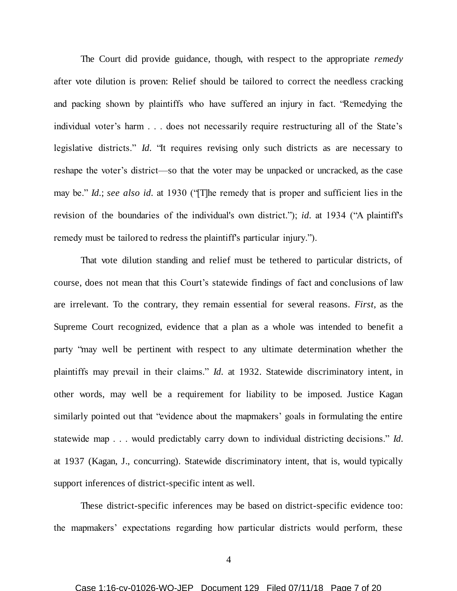The Court did provide guidance, though, with respect to the appropriate *remedy* after vote dilution is proven: Relief should be tailored to correct the needless cracking and packing shown by plaintiffs who have suffered an injury in fact. "Remedying the individual voter's harm . . . does not necessarily require restructuring all of the State's legislative districts." *Id.* "It requires revising only such districts as are necessary to reshape the voter's district—so that the voter may be unpacked or uncracked, as the case may be." *Id.*; *see also id.* at 1930 ("[T]he remedy that is proper and sufficient lies in the revision of the boundaries of the individual's own district."); *id.* at 1934 ("A plaintiff's remedy must be tailored to redress the plaintiff's particular injury.").

That vote dilution standing and relief must be tethered to particular districts, of course, does not mean that this Court's statewide findings of fact and conclusions of law are irrelevant. To the contrary, they remain essential for several reasons. *First*, as the Supreme Court recognized, evidence that a plan as a whole was intended to benefit a party "may well be pertinent with respect to any ultimate determination whether the plaintiffs may prevail in their claims." *Id.* at 1932. Statewide discriminatory intent, in other words, may well be a requirement for liability to be imposed. Justice Kagan similarly pointed out that "evidence about the mapmakers' goals in formulating the entire statewide map . . . would predictably carry down to individual districting decisions." *Id.* at 1937 (Kagan, J., concurring). Statewide discriminatory intent, that is, would typically support inferences of district-specific intent as well.

These district-specific inferences may be based on district-specific evidence too: the mapmakers' expectations regarding how particular districts would perform, these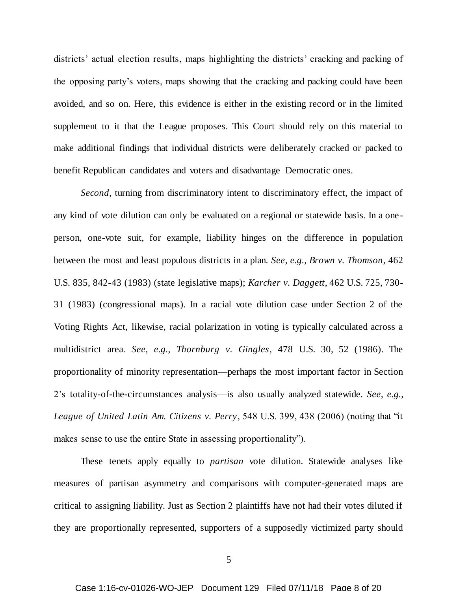districts' actual election results, maps highlighting the districts' cracking and packing of the opposing party's voters, maps showing that the cracking and packing could have been avoided, and so on. Here, this evidence is either in the existing record or in the limited supplement to it that the League proposes. This Court should rely on this material to make additional findings that individual districts were deliberately cracked or packed to benefit Republican candidates and voters and disadvantage Democratic ones.

*Second*, turning from discriminatory intent to discriminatory effect, the impact of any kind of vote dilution can only be evaluated on a regional or statewide basis. In a one person, one-vote suit, for example, liability hinges on the difference in population between the most and least populous districts in a plan. *See, e.g.*, *Brown v. Thomson*, 462 U.S. 835, 842-43 (1983) (state legislative maps); *Karcher v. Daggett*, 462 U.S. 725, 730- 31 (1983) (congressional maps). In a racial vote dilution case under Section 2 of the Voting Rights Act, likewise, racial polarization in voting is typically calculated across a multidistrict area. *See, e.g.*, *Thornburg v. Gingles*, 478 U.S. 30, 52 (1986). The proportionality of minority representation—perhaps the most important factor in Section 2's totality-of-the-circumstances analysis—is also usually analyzed statewide. *See, e.g.*, *League of United Latin Am. Citizens v. Perry*, 548 U.S. 399, 438 (2006) (noting that "it makes sense to use the entire State in assessing proportionality").

These tenets apply equally to *partisan* vote dilution. Statewide analyses like measures of partisan asymmetry and comparisons with computer-generated maps are critical to assigning liability. Just as Section 2 plaintiffs have not had their votes diluted if they are proportionally represented, supporters of a supposedly victimized party should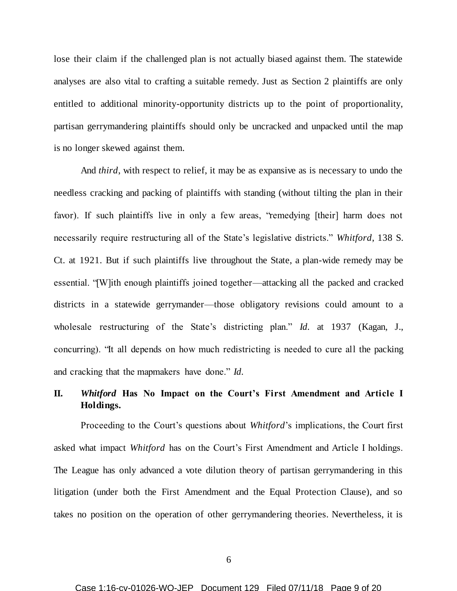lose their claim if the challenged plan is not actually biased against them. The statewide analyses are also vital to crafting a suitable remedy. Just as Section 2 plaintiffs are only entitled to additional minority-opportunity districts up to the point of proportionality, partisan gerrymandering plaintiffs should only be uncracked and unpacked until the map is no longer skewed against them.

And *third*, with respect to relief, it may be as expansive as is necessary to undo the needless cracking and packing of plaintiffs with standing (without tilting the plan in their favor). If such plaintiffs live in only a few areas, "remedying [their] harm does not necessarily require restructuring all of the State's legislative districts." *Whitford*, 138 S. Ct. at 1921. But if such plaintiffs live throughout the State, a plan-wide remedy may be essential. "[W]ith enough plaintiffs joined together—attacking all the packed and cracked districts in a statewide gerrymander—those obligatory revisions could amount to a wholesale restructuring of the State's districting plan." *Id.* at 1937 (Kagan, J., concurring). "It all depends on how much redistricting is needed to cure all the packing and cracking that the mapmakers have done." *Id.*

# **II.** *Whitford* **Has No Impact on the Court's First Amendment and Article I Holdings.**

Proceeding to the Court's questions about *Whitford*'s implications, the Court first asked what impact *Whitford* has on the Court's First Amendment and Article I holdings. The League has only advanced a vote dilution theory of partisan gerrymandering in this litigation (under both the First Amendment and the Equal Protection Clause), and so takes no position on the operation of other gerrymandering theories. Nevertheless, it is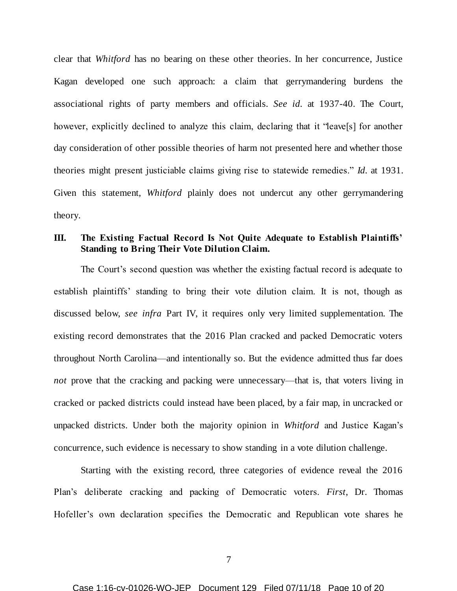clear that *Whitford* has no bearing on these other theories. In her concurrence, Justice Kagan developed one such approach: a claim that gerrymandering burdens the associational rights of party members and officials. *See id.* at 1937-40. The Court, however, explicitly declined to analyze this claim, declaring that it "leave[s] for another day consideration of other possible theories of harm not presented here and whether those theories might present justiciable claims giving rise to statewide remedies." *Id.* at 1931. Given this statement, *Whitford* plainly does not undercut any other gerrymandering theory.

### **III. The Existing Factual Record Is Not Quite Adequate to Establish Plaintiffs' Standing to Bring Their Vote Dilution Claim.**

The Court's second question was whether the existing factual record is adequate to establish plaintiffs' standing to bring their vote dilution claim. It is not, though as discussed below, *see infra* Part IV, it requires only very limited supplementation. The existing record demonstrates that the 2016 Plan cracked and packed Democratic voters throughout North Carolina—and intentionally so. But the evidence admitted thus far does *not* prove that the cracking and packing were unnecessary—that is, that voters living in cracked or packed districts could instead have been placed, by a fair map, in uncracked or unpacked districts. Under both the majority opinion in *Whitford* and Justice Kagan's concurrence, such evidence is necessary to show standing in a vote dilution challenge.

Starting with the existing record, three categories of evidence reveal the 2016 Plan's deliberate cracking and packing of Democratic voters. *First*, Dr. Thomas Hofeller's own declaration specifies the Democratic and Republican vote shares he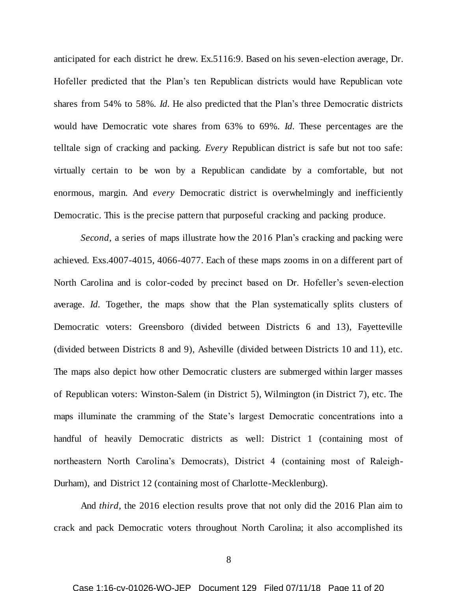anticipated for each district he drew. Ex.5116:9. Based on his seven-election average, Dr. Hofeller predicted that the Plan's ten Republican districts would have Republican vote shares from 54% to 58%. *Id.* He also predicted that the Plan's three Democratic districts would have Democratic vote shares from 63% to 69%. *Id.* These percentages are the telltale sign of cracking and packing. *Every* Republican district is safe but not too safe: virtually certain to be won by a Republican candidate by a comfortable, but not enormous, margin. And *every* Democratic district is overwhelmingly and inefficiently Democratic. This is the precise pattern that purposeful cracking and packing produce.

*Second*, a series of maps illustrate how the 2016 Plan's cracking and packing were achieved. Exs.4007-4015, 4066-4077. Each of these maps zooms in on a different part of North Carolina and is color-coded by precinct based on Dr. Hofeller's seven-election average. *Id.* Together, the maps show that the Plan systematically splits clusters of Democratic voters: Greensboro (divided between Districts 6 and 13), Fayetteville (divided between Districts 8 and 9), Asheville (divided between Districts 10 and 11), etc. The maps also depict how other Democratic clusters are submerged within larger masses of Republican voters: Winston-Salem (in District 5), Wilmington (in District 7), etc. The maps illuminate the cramming of the State's largest Democratic concentrations into a handful of heavily Democratic districts as well: District 1 (containing most of northeastern North Carolina's Democrats), District 4 (containing most of Raleigh-Durham), and District 12 (containing most of Charlotte-Mecklenburg).

And *third*, the 2016 election results prove that not only did the 2016 Plan aim to crack and pack Democratic voters throughout North Carolina; it also accomplished its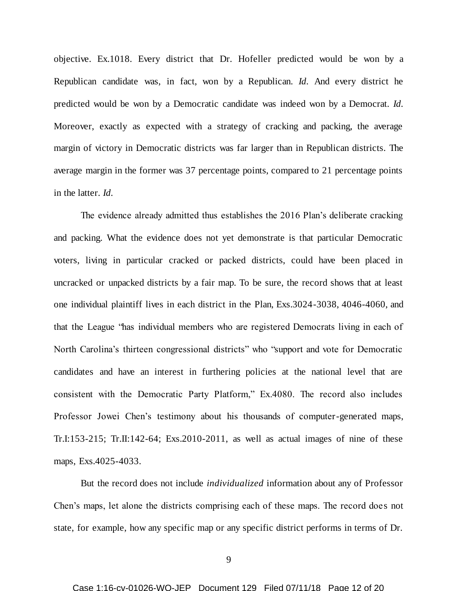objective. Ex.1018. Every district that Dr. Hofeller predicted would be won by a Republican candidate was, in fact, won by a Republican. *Id.* And every district he predicted would be won by a Democratic candidate was indeed won by a Democrat. *Id.* Moreover, exactly as expected with a strategy of cracking and packing, the average margin of victory in Democratic districts was far larger than in Republican districts. The average margin in the former was 37 percentage points, compared to 21 percentage points in the latter. *Id.*

The evidence already admitted thus establishes the 2016 Plan's deliberate cracking and packing. What the evidence does not yet demonstrate is that particular Democratic voters, living in particular cracked or packed districts, could have been placed in uncracked or unpacked districts by a fair map. To be sure, the record shows that at least one individual plaintiff lives in each district in the Plan, Exs.3024-3038, 4046-4060, and that the League "has individual members who are registered Democrats living in each of North Carolina's thirteen congressional districts" who "support and vote for Democratic candidates and have an interest in furthering policies at the national level that are consistent with the Democratic Party Platform," Ex.4080. The record also includes Professor Jowei Chen's testimony about his thousands of computer-generated maps, Tr.I:153-215; Tr.II:142-64; Exs.2010-2011, as well as actual images of nine of these maps, Exs.4025-4033.

But the record does not include *individualized* information about any of Professor Chen's maps, let alone the districts comprising each of these maps. The record does not state, for example, how any specific map or any specific district performs in terms of Dr.

9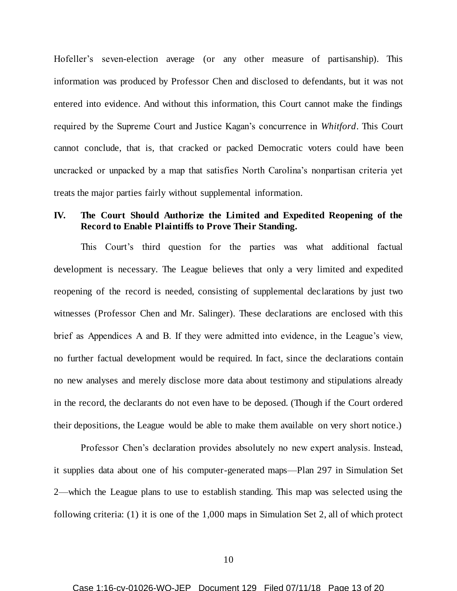Hofeller's seven-election average (or any other measure of partisanship). This information was produced by Professor Chen and disclosed to defendants, but it was not entered into evidence. And without this information, this Court cannot make the findings required by the Supreme Court and Justice Kagan's concurrence in *Whitford*. This Court cannot conclude, that is, that cracked or packed Democratic voters could have been uncracked or unpacked by a map that satisfies North Carolina's nonpartisan criteria yet treats the major parties fairly without supplemental information.

### **IV. The Court Should Authorize the Limited and Expedited Reopening of the Record to Enable Plaintiffs to Prove Their Standing.**

This Court's third question for the parties was what additional factual development is necessary. The League believes that only a very limited and expedited reopening of the record is needed, consisting of supplemental declarations by just two witnesses (Professor Chen and Mr. Salinger). These declarations are enclosed with this brief as Appendices A and B. If they were admitted into evidence, in the League's view, no further factual development would be required. In fact, since the declarations contain no new analyses and merely disclose more data about testimony and stipulations already in the record, the declarants do not even have to be deposed. (Though if the Court ordered their depositions, the League would be able to make them available on very short notice.)

Professor Chen's declaration provides absolutely no new expert analysis. Instead, it supplies data about one of his computer-generated maps—Plan 297 in Simulation Set 2—which the League plans to use to establish standing. This map was selected using the following criteria: (1) it is one of the 1,000 maps in Simulation Set 2, all of which protect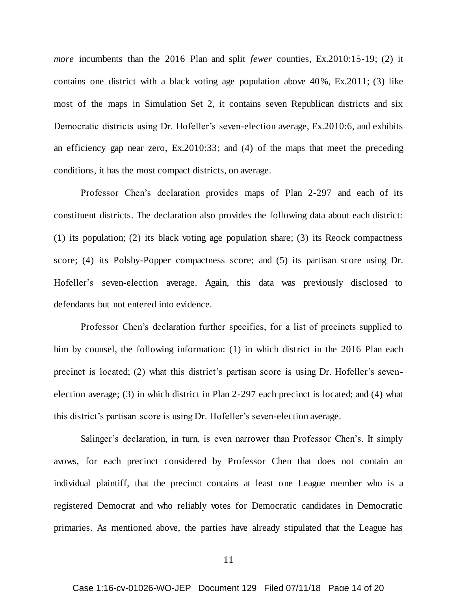*more* incumbents than the 2016 Plan and split *fewer* counties, Ex.2010:15-19; (2) it contains one district with a black voting age population above 40%, Ex.2011; (3) like most of the maps in Simulation Set 2, it contains seven Republican districts and six Democratic districts using Dr. Hofeller's seven-election average, Ex.2010:6, and exhibits an efficiency gap near zero, Ex.2010:33; and (4) of the maps that meet the preceding conditions, it has the most compact districts, on average.

Professor Chen's declaration provides maps of Plan 2-297 and each of its constituent districts. The declaration also provides the following data about each district: (1) its population; (2) its black voting age population share; (3) its Reock compactness score; (4) its Polsby-Popper compactness score; and (5) its partisan score using Dr. Hofeller's seven-election average. Again, this data was previously disclosed to defendants but not entered into evidence.

Professor Chen's declaration further specifies, for a list of precincts supplied to him by counsel, the following information: (1) in which district in the 2016 Plan each precinct is located; (2) what this district's partisan score is using Dr. Hofeller's sevenelection average; (3) in which district in Plan 2-297 each precinct is located; and (4) what this district's partisan score is using Dr. Hofeller's seven-election average.

Salinger's declaration, in turn, is even narrower than Professor Chen's. It simply avows, for each precinct considered by Professor Chen that does not contain an individual plaintiff, that the precinct contains at least one League member who is a registered Democrat and who reliably votes for Democratic candidates in Democratic primaries. As mentioned above, the parties have already stipulated that the League has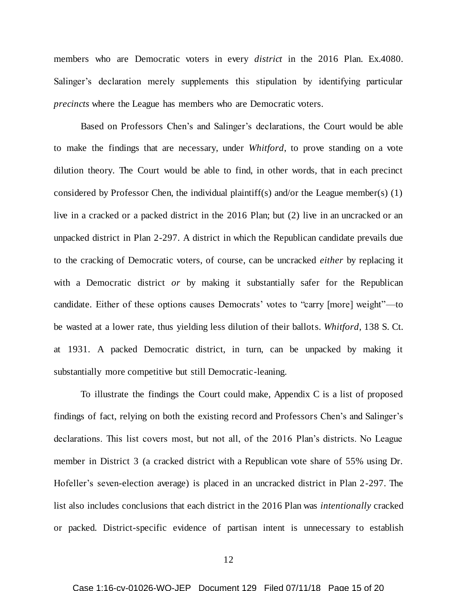members who are Democratic voters in every *district* in the 2016 Plan. Ex.4080. Salinger's declaration merely supplements this stipulation by identifying particular *precincts* where the League has members who are Democratic voters.

Based on Professors Chen's and Salinger's declarations, the Court would be able to make the findings that are necessary, under *Whitford*, to prove standing on a vote dilution theory. The Court would be able to find, in other words, that in each precinct considered by Professor Chen, the individual plaintiff(s) and/or the League member(s) (1) live in a cracked or a packed district in the 2016 Plan; but (2) live in an uncracked or an unpacked district in Plan 2-297. A district in which the Republican candidate prevails due to the cracking of Democratic voters, of course, can be uncracked *either* by replacing it with a Democratic district *or* by making it substantially safer for the Republican candidate. Either of these options causes Democrats' votes to "carry [more] weight"—to be wasted at a lower rate, thus yielding less dilution of their ballots. *Whitford*, 138 S. Ct. at 1931. A packed Democratic district, in turn, can be unpacked by making it substantially more competitive but still Democratic-leaning.

To illustrate the findings the Court could make, Appendix C is a list of proposed findings of fact, relying on both the existing record and Professors Chen's and Salinger's declarations. This list covers most, but not all, of the 2016 Plan's districts. No League member in District 3 (a cracked district with a Republican vote share of 55% using Dr. Hofeller's seven-election average) is placed in an uncracked district in Plan 2-297. The list also includes conclusions that each district in the 2016 Plan was *intentionally* cracked or packed. District-specific evidence of partisan intent is unnecessary to establish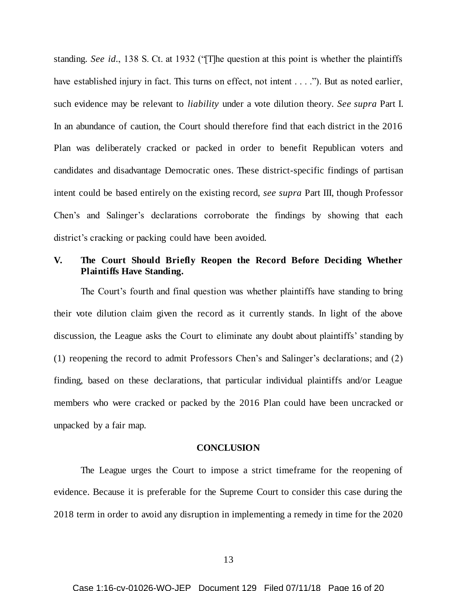standing. *See id.*, 138 S. Ct. at 1932 ("[T]he question at this point is whether the plaintiffs have established injury in fact. This turns on effect, not intent . . . ."). But as noted earlier, such evidence may be relevant to *liability* under a vote dilution theory. *See supra* Part I. In an abundance of caution, the Court should therefore find that each district in the 2016 Plan was deliberately cracked or packed in order to benefit Republican voters and candidates and disadvantage Democratic ones. These district-specific findings of partisan intent could be based entirely on the existing record, *see supra* Part III, though Professor Chen's and Salinger's declarations corroborate the findings by showing that each district's cracking or packing could have been avoided.

## **V. The Court Should Briefly Reopen the Record Before Deciding Whether Plaintiffs Have Standing.**

The Court's fourth and final question was whether plaintiffs have standing to bring their vote dilution claim given the record as it currently stands. In light of the above discussion, the League asks the Court to eliminate any doubt about plaintiffs' standing by (1) reopening the record to admit Professors Chen's and Salinger's declarations; and (2) finding, based on these declarations, that particular individual plaintiffs and/or League members who were cracked or packed by the 2016 Plan could have been uncracked or unpacked by a fair map.

#### **CONCLUSION**

The League urges the Court to impose a strict timeframe for the reopening of evidence. Because it is preferable for the Supreme Court to consider this case during the 2018 term in order to avoid any disruption in implementing a remedy in time for the 2020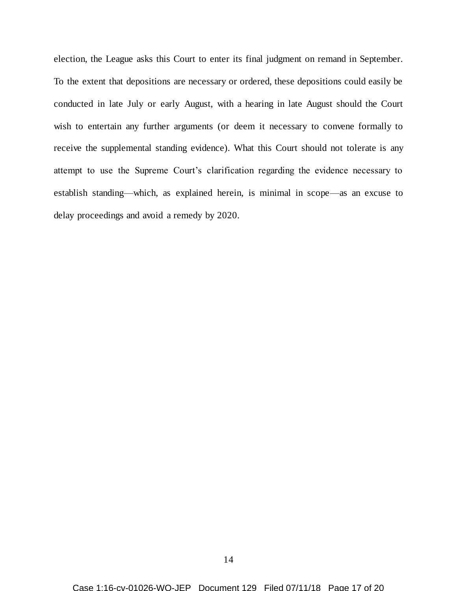election, the League asks this Court to enter its final judgment on remand in September. To the extent that depositions are necessary or ordered, these depositions could easily be conducted in late July or early August, with a hearing in late August should the Court wish to entertain any further arguments (or deem it necessary to convene formally to receive the supplemental standing evidence). What this Court should not tolerate is any attempt to use the Supreme Court's clarification regarding the evidence necessary to establish standing—which, as explained herein, is minimal in scope—as an excuse to delay proceedings and avoid a remedy by 2020.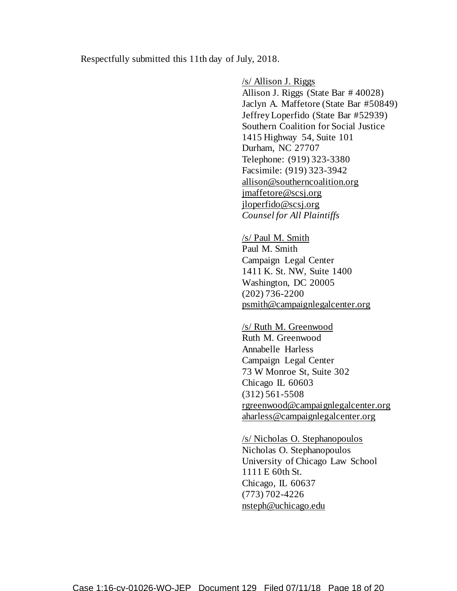Respectfully submitted this 11th day of July, 2018.

/s/ Allison J. Riggs Allison J. Riggs (State Bar # 40028) Jaclyn A. Maffetore (State Bar #50849) Jeffrey Loperfido (State Bar #52939) Southern Coalition for Social Justice 1415 Highway 54, Suite 101 Durham, NC 27707 Telephone: (919) 323-3380 Facsimile: (919) 323-3942 allison@southerncoalition.org jmaffetore@scsj.org jloperfido@scsj.org *Counsel for All Plaintiffs*

/s/ Paul M. Smith Paul M. Smith Campaign Legal Center 1411 K. St. NW, Suite 1400 Washington, DC 20005 (202) 736-2200 psmith@campaignlegalcenter.org

/s/ Ruth M. Greenwood Ruth M. Greenwood Annabelle Harless Campaign Legal Center 73 W Monroe St, Suite 302 Chicago IL 60603 (312) 561-5508 rgreenwood@campaignlegalcenter.org aharless@campaignlegalcenter.org

/s/ Nicholas O. Stephanopoulos Nicholas O. Stephanopoulos University of Chicago Law School 1111 E 60th St. Chicago, IL 60637 (773) 702-4226 nsteph@uchicago.edu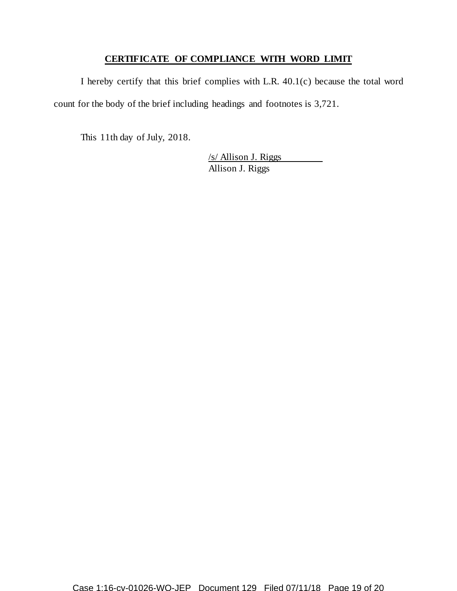# **CERTIFICATE OF COMPLIANCE WITH WORD LIMIT**

I hereby certify that this brief complies with L.R. 40.1(c) because the total word count for the body of the brief including headings and footnotes is 3,721.

This 11th day of July, 2018.

/s/ Allison J. Riggs Allison J. Riggs